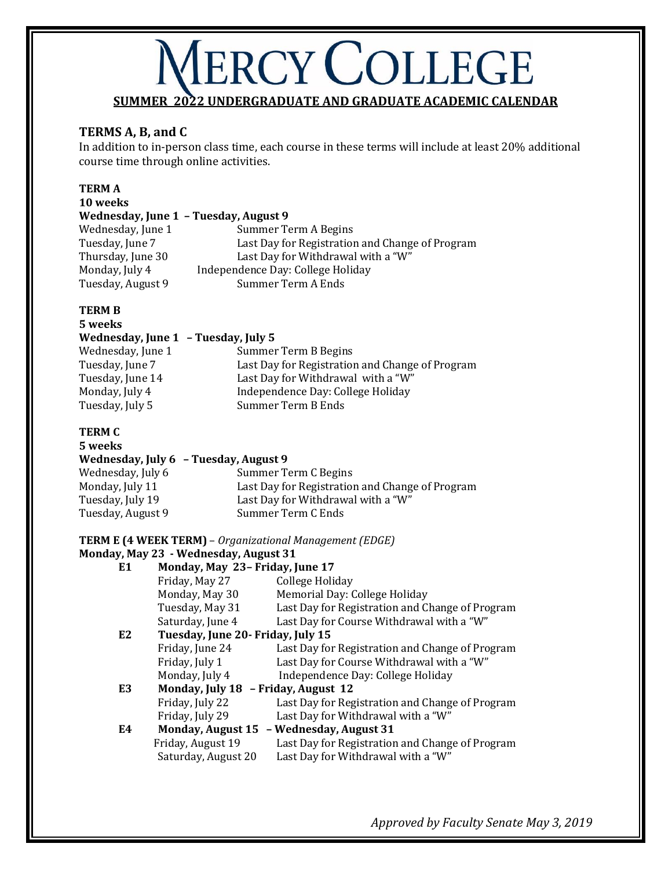# **VERCY COLLEGE SUMMER 2022 UNDERGRADUATE AND GRADUATE ACADEMIC CALENDAR**

## **TERMS A, B, and C**

In addition to in-person class time, each course in these terms will include at least 20% additional course time through online activities.

### **TERM A**

| 10 weeks                              |                                                 |  |  |  |
|---------------------------------------|-------------------------------------------------|--|--|--|
| Wednesday, June 1 - Tuesday, August 9 |                                                 |  |  |  |
| Wednesday, June 1                     | Summer Term A Begins                            |  |  |  |
| Tuesday, June 7                       | Last Day for Registration and Change of Program |  |  |  |
| Thursday, June 30                     | Last Day for Withdrawal with a "W"              |  |  |  |
| Monday, July 4                        | Independence Day: College Holiday               |  |  |  |
| Tuesday, August 9                     | Summer Term A Ends                              |  |  |  |

## **TERM B**

| 5 weeks                             |                                                 |
|-------------------------------------|-------------------------------------------------|
| Wednesday, June 1 - Tuesday, July 5 |                                                 |
| Wednesday, June 1                   | Summer Term B Begins                            |
| Tuesday, June 7                     | Last Day for Registration and Change of Program |
| Tuesday, June 14                    | Last Day for Withdrawal with a "W"              |
| Monday, July 4                      | Independence Day: College Holiday               |
| Tuesday, July 5                     | Summer Term B Ends                              |

### **TERM C**

| 5 weeks                               |                                                 |
|---------------------------------------|-------------------------------------------------|
| Wednesday, July 6 - Tuesday, August 9 |                                                 |
| Wednesday, July 6                     | Summer Term C Begins                            |
| Monday, July 11                       | Last Day for Registration and Change of Program |
| Tuesday, July 19                      | Last Day for Withdrawal with a "W"              |
| Tuesday, August 9                     | Summer Term C Ends                              |
|                                       |                                                 |

**TERM E (4 WEEK TERM)** – *Organizational Management (EDGE)*

## **Monday, May 23 - Wednesday, August 31**

| E1 | Monday, May 23- Friday, June 17     |                                                 |  |
|----|-------------------------------------|-------------------------------------------------|--|
|    | Friday, May 27                      | College Holiday                                 |  |
|    | Monday, May 30                      | Memorial Day: College Holiday                   |  |
|    | Tuesday, May 31                     | Last Day for Registration and Change of Program |  |
|    | Saturday, June 4                    | Last Day for Course Withdrawal with a "W"       |  |
| E2 | Tuesday, June 20 - Friday, July 15  |                                                 |  |
|    | Friday, June 24                     | Last Day for Registration and Change of Program |  |
|    | Friday, July 1                      | Last Day for Course Withdrawal with a "W"       |  |
|    | Monday, July 4                      | Independence Day: College Holiday               |  |
| E3 | Monday, July 18 - Friday, August 12 |                                                 |  |
|    | Friday, July 22                     | Last Day for Registration and Change of Program |  |
|    | Friday, July 29                     | Last Day for Withdrawal with a "W"              |  |
| E4 | <b>Monday, August 15</b>            | - Wednesday, August 31                          |  |
|    | Friday, August 19                   | Last Day for Registration and Change of Program |  |
|    | Saturday, August 20                 | Last Day for Withdrawal with a "W"              |  |
|    |                                     |                                                 |  |

*Approved by Faculty Senate May 3, 2019*